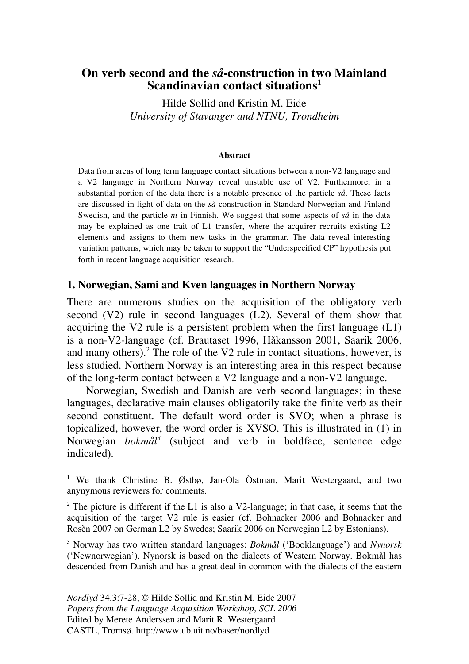## **On verb second and the** *så***-construction in two Mainland Scandinavian contact situations<sup>1</sup>**

Hilde Sollid and Kristin M. Eide *University of Stavanger and NTNU, Trondheim*

#### **Abstract**

Data from areas of long term language contact situations between a non-V2 language and a V2 language in Northern Norway reveal unstable use of V2. Furthermore, in a substantial portion of the data there is a notable presence of the particle *så*. These facts are discussed in light of data on the *så-*construction in Standard Norwegian and Finland Swedish, and the particle *ni* in Finnish. We suggest that some aspects of *så* in the data may be explained as one trait of L1 transfer, where the acquirer recruits existing L2 elements and assigns to them new tasks in the grammar. The data reveal interesting variation patterns, which may be taken to support the "Underspecified CP" hypothesis put forth in recent language acquisition research.

#### **1. Norwegian, Sami and Kven languages in Northern Norway**

There are numerous studies on the acquisition of the obligatory verb second (V2) rule in second languages (L2). Several of them show that acquiring the V2 rule is a persistent problem when the first language  $(L1)$ is a non-V2-language (cf. Brautaset 1996, Håkansson 2001, Saarik 2006, and many others).<sup>2</sup> The role of the V2 rule in contact situations, however, is less studied. Northern Norway is an interesting area in this respect because of the long-term contact between a V2 language and a non-V2 language.

Norwegian, Swedish and Danish are verb second languages; in these languages, declarative main clauses obligatorily take the finite verb as their second constituent. The default word order is SVO; when a phrase is topicalized, however, the word order is XVSO. This is illustrated in (1) in Norwegian *bokmål3* (subject and verb in boldface, sentence edge indicated).

<sup>&</sup>lt;sup>1</sup> We thank Christine B. Østbø, Jan-Ola Östman, Marit Westergaard, and two anynymous reviewers for comments.

<sup>&</sup>lt;sup>2</sup> The picture is different if the L1 is also a V2-language; in that case, it seems that the acquisition of the target V2 rule is easier (cf. Bohnacker 2006 and Bohnacker and Rosèn 2007 on German L2 by Swedes; Saarik 2006 on Norwegian L2 by Estonians).

<sup>3</sup> Norway has two written standard languages: *Bokmål* ('Booklanguage') and *Nynorsk* ('Newnorwegian'). Nynorsk is based on the dialects of Western Norway. Bokmål has descended from Danish and has a great deal in common with the dialects of the eastern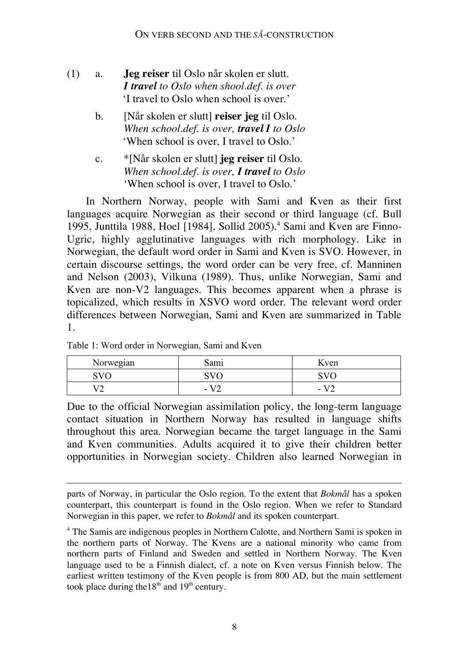- (1) a. **Jeg reiser** til Oslo når skolen er slutt. *I travel to Oslo when shool.def. is over* 'I travel to Oslo when school is over.'
	- b. [Når skolen er slutt] **reiser jeg** til Oslo. *When school.def. is over, travel I to Oslo* 'When school is over, I travel to Oslo.'
	- c. \*[Når skolen er slutt] **jeg reiser** til Oslo. *When school.def. is over, I travel to Oslo* 'When school is over, I travel to Oslo.'

In Northern Norway, people with Sami and Kven as their first languages acquire Norwegian as their second or third language (cf. Bull 1995, Junttila 1988, Hoel [1984], Sollid 2005). <sup>4</sup> Sami and Kven are Finno-Ugric, highly agglutinative languages with rich morphology. Like in Norwegian, the default word order in Sami and Kven is SVO. However, in certain discourse settings, the word order can be very free, cf. Manninen and Nelson (2003), Vilkuna (1989). Thus, unlike Norwegian, Sami and Kven are non-V2 languages. This becomes apparent when a phrase is topicalized, which results in XSVO word order. The relevant word order differences between Norwegian, Sami and Kven are summarized in Table 1.

| Norwegian  | Sami              | Kven                     |  |
|------------|-------------------|--------------------------|--|
| SVC        | $\alpha$ $\alpha$ |                          |  |
| <b>170</b> | $\sim$            | $\overline{\phantom{0}}$ |  |

Table 1: Word order in Norwegian, Sami and Kven

 $\overline{a}$ 

Due to the official Norwegian assimilation policy, the long-term language contact situation in Northern Norway has resulted in language shifts throughout this area. Norwegian became the target language in the Sami and Kven communities. Adults acquired it to give their children better opportunities in Norwegian society. Children also learned Norwegian in

parts of Norway, in particular the Oslo region. To the extent that *Bokmål* has a spoken counterpart, this counterpart is found in the Oslo region. When we refer to Standard Norwegian in this paper, we refer to *Bokmål* and its spoken counterpart.

<sup>&</sup>lt;sup>4</sup> The Samis are indigenous peoples in Northern Calotte, and Northern Sami is spoken in the northern parts of Norway. The Kvens are a national minority who came from northern parts of Finland and Sweden and settled in Northern Norway. The Kven language used to be a Finnish dialect, cf. a note on Kven versus Finnish below. The earliest written testimony of the Kven people is from 800 AD, but the main settlement took place during the  $18<sup>th</sup>$  and  $19<sup>th</sup>$  century.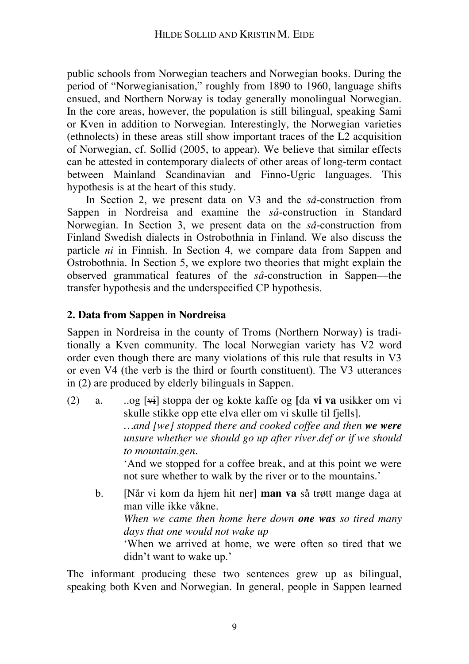public schools from Norwegian teachers and Norwegian books. During the period of "Norwegianisation," roughly from 1890 to 1960, language shifts ensued, and Northern Norway is today generally monolingual Norwegian. In the core areas, however, the population is still bilingual, speaking Sami or Kven in addition to Norwegian. Interestingly, the Norwegian varieties (ethnolects) in these areas still show important traces of the L2 acquisition of Norwegian, cf. Sollid (2005, to appear). We believe that similar effects can be attested in contemporary dialects of other areas of long-term contact between Mainland Scandinavian and Finno-Ugric languages. This hypothesis is at the heart of this study.

In Section 2, we present data on V3 and the *så*-construction from Sappen in Nordreisa and examine the *så*-construction in Standard Norwegian. In Section 3, we present data on the *så*-construction from Finland Swedish dialects in Ostrobothnia in Finland. We also discuss the particle *ni* in Finnish. In Section 4, we compare data from Sappen and Ostrobothnia. In Section 5, we explore two theories that might explain the observed grammatical features of the *så*-construction in Sappen—the transfer hypothesis and the underspecified CP hypothesis.

## **2. Data from Sappen in Nordreisa**

Sappen in Nordreisa in the county of Troms (Northern Norway) is traditionally a Kven community. The local Norwegian variety has V2 word order even though there are many violations of this rule that results in V3 or even V4 (the verb is the third or fourth constituent). The V3 utterances in (2) are produced by elderly bilinguals in Sappen.

- (2) a. ..og [vi] stoppa der og kokte kaffe og **[**da **vi va** usikker om vi skulle stikke opp ette elva eller om vi skulle til fjells]. *…and [we] stopped there and cooked coffee and then we were unsure whether we should go up after river.def or if we should to mountain.gen.* 'And we stopped for a coffee break, and at this point we were not sure whether to walk by the river or to the mountains.'
	- b. [Når vi kom da hjem hit ner] **man va** så trøtt mange daga at man ville ikke våkne. *When we came then home here down one was so tired many days that one would not wake up* 'When we arrived at home, we were often so tired that we didn't want to wake up.'

The informant producing these two sentences grew up as bilingual, speaking both Kven and Norwegian. In general, people in Sappen learned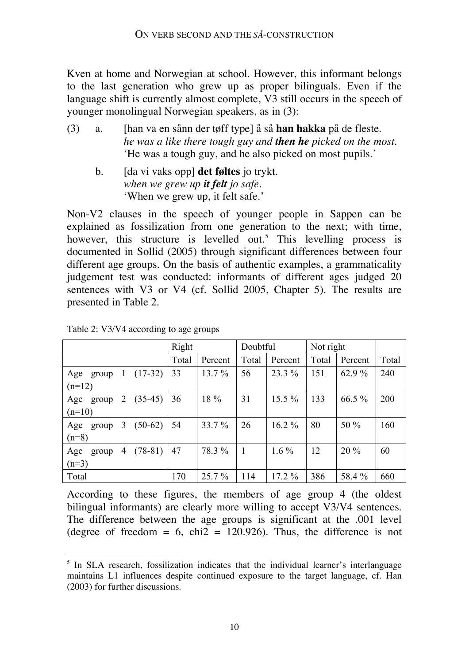Kven at home and Norwegian at school. However, this informant belongs to the last generation who grew up as proper bilinguals. Even if the language shift is currently almost complete, V3 still occurs in the speech of younger monolingual Norwegian speakers, as in (3):

- (3) a. [han va en sånn der tøff type] å så **han hakka** på de fleste. *he was a like there tough guy and then he picked on the most.* 'He was a tough guy, and he also picked on most pupils.'
	- b. [da vi vaks opp] **det føltes** jo trykt. *when we grew up it felt jo safe.* 'When we grew up, it felt safe.'

Non-V2 clauses in the speech of younger people in Sappen can be explained as fossilization from one generation to the next; with time, however, this structure is levelled out.<sup>5</sup> This levelling process is documented in Sollid (2005) through significant differences between four different age groups. On the basis of authentic examples, a grammaticality judgement test was conducted: informants of different ages judged 20 sentences with V3 or V4 (cf. Sollid 2005, Chapter 5). The results are presented in Table 2.

|              |   |           | Right |          | Doubtful |          | Not right |          |       |
|--------------|---|-----------|-------|----------|----------|----------|-----------|----------|-------|
|              |   |           | Total | Percent  | Total    | Percent  | Total     | Percent  | Total |
| Age<br>group | 1 | $(17-32)$ | 33    | $13.7\%$ | 56       | 23.3 %   | 151       | 62.9 %   | 240   |
| $(n=12)$     |   |           |       |          |          |          |           |          |       |
| Age<br>group | 2 | $(35-45)$ | 36    | 18 %     | 31       | $15.5\%$ | 133       | $66.5\%$ | 200   |
| $(n=10)$     |   |           |       |          |          |          |           |          |       |
| Age<br>group | 3 | $(50-62)$ | 54    | 33.7 %   | 26       | $16.2\%$ | 80        | 50 %     | 160   |
| $(n=8)$      |   |           |       |          |          |          |           |          |       |
| Age<br>group | 4 | $(78-81)$ | 47    | 78.3 %   |          | $1.6\%$  | 12        | $20\%$   | 60    |
| $(n=3)$      |   |           |       |          |          |          |           |          |       |
| Total        |   |           | 170   | $25.7\%$ | 114      | $17.2\%$ | 386       | 58.4%    | 660   |

Table 2: V3/V4 according to age groups

According to these figures, the members of age group 4 (the oldest bilingual informants) are clearly more willing to accept V3/V4 sentences. The difference between the age groups is significant at the .001 level (degree of freedom  $= 6$ , chi2  $= 120.926$ ). Thus, the difference is not

 $5$  In SLA research, fossilization indicates that the individual learner's interlanguage maintains L1 influences despite continued exposure to the target language, cf. Han (2003) for further discussions.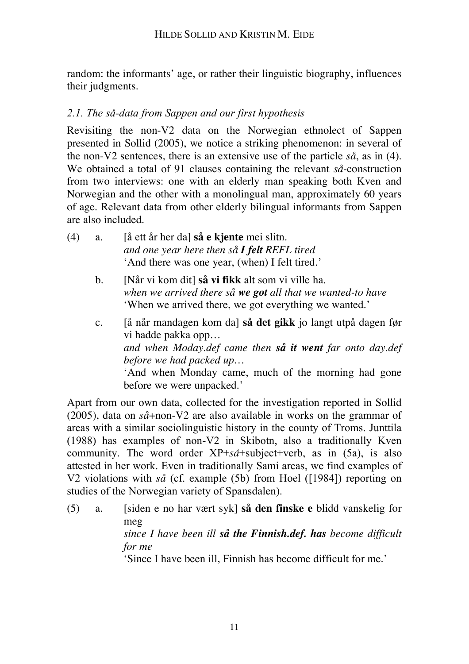random: the informants' age, or rather their linguistic biography, influences their judgments.

# *2.1. The så-data from Sappen and our first hypothesis*

Revisiting the non-V2 data on the Norwegian ethnolect of Sappen presented in Sollid (2005), we notice a striking phenomenon: in several of the non-V2 sentences, there is an extensive use of the particle *så*, as in (4). We obtained a total of 91 clauses containing the relevant *så-*construction from two interviews: one with an elderly man speaking both Kven and Norwegian and the other with a monolingual man, approximately 60 years of age. Relevant data from other elderly bilingual informants from Sappen are also included.

| (4) | а. | a ett år her dal så e kjente mei slitn.            |
|-----|----|----------------------------------------------------|
|     |    | and one year here then så <b>I felt</b> REFL tired |
|     |    | 'And there was one year, (when) I felt tired.'     |

- b. [Når vi kom dit] **så vi fikk** alt som vi ville ha. *when we arrived there så we got all that we wanted-to have* 'When we arrived there, we got everything we wanted.'
- c. [å når mandagen kom da] **så det gikk** jo langt utpå dagen før vi hadde pakka opp… *and when Moday.def came then så it went far onto day.def before we had packed up…* 'And when Monday came, much of the morning had gone before we were unpacked.'

Apart from our own data, collected for the investigation reported in Sollid (2005), data on *så*+non-V2 are also available in works on the grammar of areas with a similar sociolinguistic history in the county of Troms. Junttila (1988) has examples of non-V2 in Skibotn, also a traditionally Kven community. The word order XP+*så*+subject+verb, as in (5a), is also attested in her work. Even in traditionally Sami areas, we find examples of V2 violations with *så* (cf. example (5b) from Hoel ([1984]) reporting on studies of the Norwegian variety of Spansdalen).

(5) a. [siden e no har vært syk] **så den finske e** blidd vanskelig for meg *since I have been ill så the Finnish.def. has become difficult for me* 'Since I have been ill, Finnish has become difficult for me.'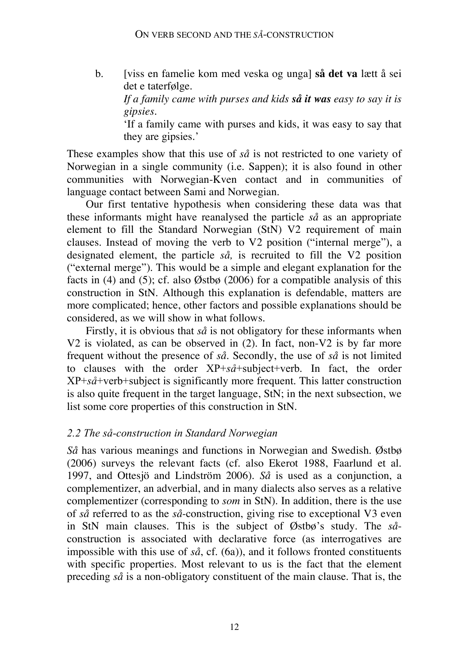b. [viss en famelie kom med veska og unga] **så det va** lætt å sei det e taterfølge.

*If a family came with purses and kids så it was easy to say it is gipsies.*

'If a family came with purses and kids, it was easy to say that they are gipsies.'

These examples show that this use of *så* is not restricted to one variety of Norwegian in a single community (i.e. Sappen); it is also found in other communities with Norwegian-Kven contact and in communities of language contact between Sami and Norwegian.

Our first tentative hypothesis when considering these data was that these informants might have reanalysed the particle *så* as an appropriate element to fill the Standard Norwegian (StN) V2 requirement of main clauses. Instead of moving the verb to V2 position ("internal merge"), a designated element, the particle *så,* is recruited to fill the V2 position ("external merge"). This would be a simple and elegant explanation for the facts in (4) and (5); cf. also  $\emptyset$ stbø (2006) for a compatible analysis of this construction in StN. Although this explanation is defendable, matters are more complicated; hence, other factors and possible explanations should be considered, as we will show in what follows.

Firstly, it is obvious that *så* is not obligatory for these informants when V2 is violated, as can be observed in (2). In fact, non-V2 is by far more frequent without the presence of *så.* Secondly, the use of *så* is not limited to clauses with the order XP+*så*+subject+verb. In fact, the order XP+*så*+verb+subject is significantly more frequent. This latter construction is also quite frequent in the target language, StN; in the next subsection, we list some core properties of this construction in StN.

## *2.2 The så-construction in Standard Norwegian*

*Så* has various meanings and functions in Norwegian and Swedish. Østbø (2006) surveys the relevant facts (cf. also Ekerot 1988, Faarlund et al. 1997, and Ottesjö and Lindström 2006). *Så* is used as a conjunction, a complementizer, an adverbial, and in many dialects also serves as a relative complementizer (corresponding to *som* in StN). In addition, there is the use of *så* referred to as the *så*-construction, giving rise to exceptional V3 even in StN main clauses. This is the subject of Østbø's study. The *så*construction is associated with declarative force (as interrogatives are impossible with this use of *så*, cf. (6a)), and it follows fronted constituents with specific properties. Most relevant to us is the fact that the element preceding *så* is a non-obligatory constituent of the main clause. That is, the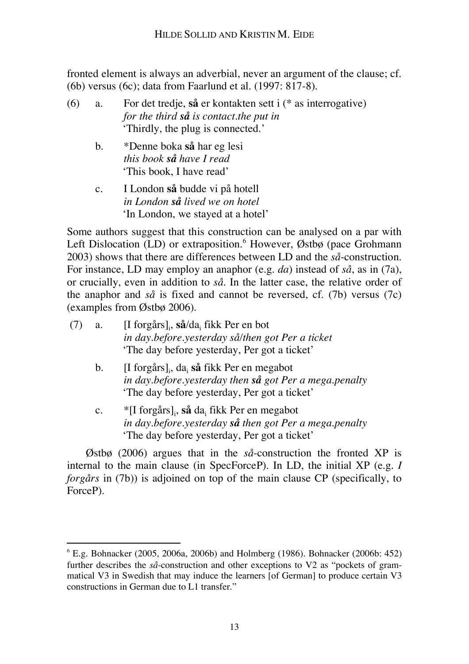fronted element is always an adverbial, never an argument of the clause; cf. (6b) versus (6c); data from Faarlund et al. (1997: 817-8).

- (6) a. For det tredje, **så** er kontakten sett i (\* as interrogative) *for the third så is contact.the put in* 'Thirdly, the plug is connected.'
	- b. \*Denne boka **så** har eg lesi *this book så have I read* 'This book, I have read'
	- c. I London **så** budde vi på hotell *in London så lived we on hotel* 'In London, we stayed at a hotel'

Some authors suggest that this construction can be analysed on a par with Left Dislocation (LD) or extraposition.<sup>6</sup> However, Østbø (pace Grohmann 2003) shows that there are differences between LD and the *så*-construction. For instance, LD may employ an anaphor (e.g. *da*) instead of *så*, as in (7a), or crucially, even in addition to *så.* In the latter case, the relative order of the anaphor and *så* is fixed and cannot be reversed, cf. (7b) versus (7c) (examples from Østbø 2006).

| (7 | a.             | $[I$ forgårs], så/da, fikk Per en bot<br>in day.before.yesterday så/then got Per a ticket<br>'The day before yesterday, Per got a ticket'                 |
|----|----------------|-----------------------------------------------------------------------------------------------------------------------------------------------------------|
|    | $\mathbf{b}$ . | [I forgårs], da, så fikk Per en megabot<br>in day.before.yesterday then så got Per a mega.penalty<br>'The day before yesterday, Per got a ticket'         |
|    | $\mathbf{c}$ . | $\vert$ [I forgårs], så da, fikk Per en megabot<br>in day.before.yesterday så then got Per a mega.penalty<br>'The day before yesterday, Per got a ticket' |

Østbø (2006) argues that in the *så*-construction the fronted XP is internal to the main clause (in SpecForceP). In LD, the initial XP (e.g. *I forgårs* in (7b)) is adjoined on top of the main clause CP (specifically, to ForceP).

 <sup>6</sup> E.g. Bohnacker (2005, 2006a, 2006b) and Holmberg (1986). Bohnacker (2006b: 452) further describes the *så-*construction and other exceptions to V2 as "pockets of grammatical V3 in Swedish that may induce the learners [of German] to produce certain V3 constructions in German due to L1 transfer."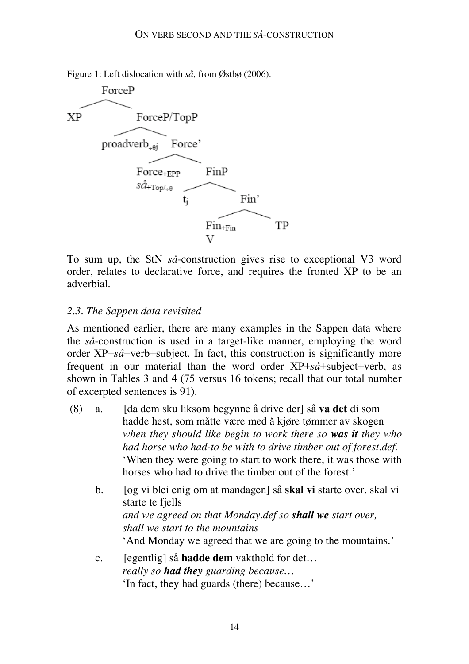Figure 1: Left dislocation with *så*, from Østbø (2006).



To sum up, the StN *så*-construction gives rise to exceptional V3 word order, relates to declarative force, and requires the fronted XP to be an adverbial.

## *2.3. The Sappen data revisited*

As mentioned earlier, there are many examples in the Sappen data where the *så*-construction is used in a target-like manner, employing the word order XP+*så*+verb+subject. In fact, this construction is significantly more frequent in our material than the word order XP+*så*+subject+verb, as shown in Tables 3 and 4 (75 versus 16 tokens; recall that our total number of excerpted sentences is 91).

- (8) a. [da dem sku liksom begynne å drive der] så **va det** di som hadde hest, som måtte være med å kjøre tømmer av skogen *when they should like begin to work there so was it they who had horse who had-to be with to drive timber out of forest.def.* 'When they were going to start to work there, it was those with horses who had to drive the timber out of the forest.'
	- b. [og vi blei enig om at mandagen] så **skal vi** starte over, skal vi starte te fjells *and we agreed on that Monday.def so shall we start over, shall we start to the mountains* 'And Monday we agreed that we are going to the mountains.'
	- c. [egentlig] så **hadde dem** vakthold for det… *really so had they guarding because…* 'In fact, they had guards (there) because…'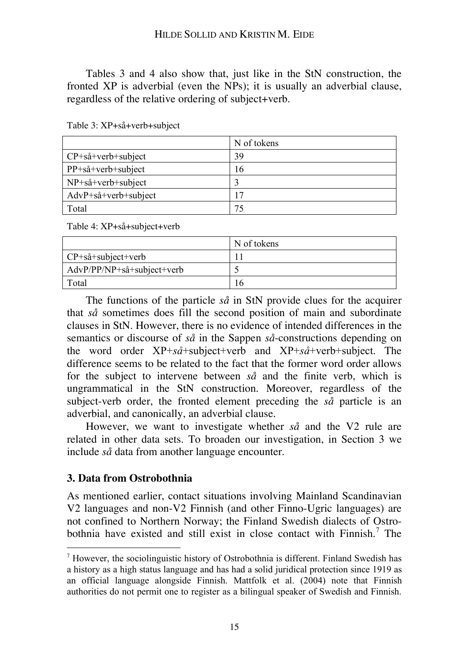Tables 3 and 4 also show that, just like in the StN construction, the fronted XP is adverbial (even the NPs); it is usually an adverbial clause, regardless of the relative ordering of subject+verb.

|                                       | N of tokens |  |  |  |
|---------------------------------------|-------------|--|--|--|
| $CP + s\mathring{a} + verb + subject$ | 39          |  |  |  |
| $PP + så + verb + subject$            | 16          |  |  |  |
| $NP + så + verb + subject$            |             |  |  |  |
| $AdvP + så + verb + subject$          | 17          |  |  |  |
| Total                                 | 75          |  |  |  |

Table 3: XP+så+verb+subject

Table 4: XP+så+subject+verb

|                                    | N of tokens |
|------------------------------------|-------------|
| CP+så+subject+verb                 |             |
| $AdvP/PP/NP + så + subject + verb$ |             |
| Total                              | $\theta$    |

The functions of the particle *så* in StN provide clues for the acquirer that *så* sometimes does fill the second position of main and subordinate clauses in StN. However, there is no evidence of intended differences in the semantics or discourse of *så* in the Sappen *så*-constructions depending on the word order XP+*så*+subject+verb and XP+*så*+verb+subject. The difference seems to be related to the fact that the former word order allows for the subject to intervene between *så* and the finite verb, which is ungrammatical in the StN construction. Moreover, regardless of the subject-verb order, the fronted element preceding the *så* particle is an adverbial, and canonically, an adverbial clause.

However, we want to investigate whether *så* and the V2 rule are related in other data sets. To broaden our investigation, in Section 3 we include *så* data from another language encounter.

## **3. Data from Ostrobothnia**

As mentioned earlier, contact situations involving Mainland Scandinavian V2 languages and non-V2 Finnish (and other Finno-Ugric languages) are not confined to Northern Norway; the Finland Swedish dialects of Ostrobothnia have existed and still exist in close contact with Finnish.<sup>7</sup> The

 <sup>7</sup> However, the sociolinguistic history of Ostrobothnia is different. Finland Swedish has a history as a high status language and has had a solid juridical protection since 1919 as an official language alongside Finnish. Mattfolk et al. (2004) note that Finnish authorities do not permit one to register as a bilingual speaker of Swedish and Finnish.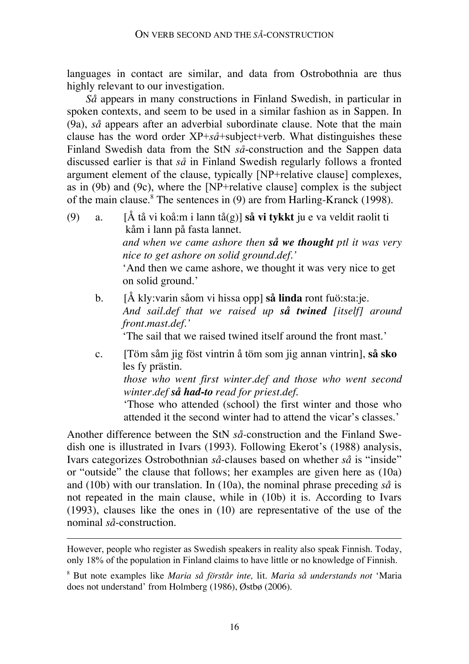languages in contact are similar, and data from Ostrobothnia are thus highly relevant to our investigation.

*Så* appears in many constructions in Finland Swedish, in particular in spoken contexts, and seem to be used in a similar fashion as in Sappen. In (9a), *så* appears after an adverbial subordinate clause. Note that the main clause has the word order XP+*så*+subject+verb. What distinguishes these Finland Swedish data from the StN *så*-construction and the Sappen data discussed earlier is that *så* in Finland Swedish regularly follows a fronted argument element of the clause, typically [NP+relative clause] complexes, as in (9b) and (9c), where the [NP+relative clause] complex is the subject of the main clause.<sup>8</sup> The sentences in (9) are from Harling-Kranck (1998).

- (9) a. [Å tå vi koå:m i lann tå(g)] **så vi tykkt** ju e va veldit raolit ti kåm i lann på fasta lannet. *and when we came ashore then så we thought ptl it was very nice to get ashore on solid ground.def.'* 'And then we came ashore, we thought it was very nice to get on solid ground.'
	- b. [Å kly:varin såom vi hissa opp] **så linda** ront fuö:sta:je. *And sail.def that we raised up så twined [itself] around front.mast.def.'*

'The sail that we raised twined itself around the front mast.'

c. [Töm såm jig föst vintrin å töm som jig annan vintrin], **så sko** les fy prästin. *those who went first winter.def and those who went second winter.def så had-to read for priest.def.* 'Those who attended (school) the first winter and those who attended it the second winter had to attend the vicar's classes.'

Another difference between the StN *så-*construction and the Finland Swedish one is illustrated in Ivars (1993). Following Ekerot's (1988) analysis, Ivars categorizes Ostrobothnian *så*-clauses based on whether *så* is "inside" or "outside" the clause that follows; her examples are given here as (10a) and (10b) with our translation. In (10a), the nominal phrase preceding *så* is not repeated in the main clause, while in (10b) it is. According to Ivars (1993), clauses like the ones in (10) are representative of the use of the nominal *så*-construction.

 $\overline{a}$ 

However, people who register as Swedish speakers in reality also speak Finnish. Today, only 18% of the population in Finland claims to have little or no knowledge of Finnish.

<sup>8</sup> But note examples like *Maria så förstår inte,* lit. *Maria så understands not* 'Maria does not understand' from Holmberg (1986), Østbø (2006).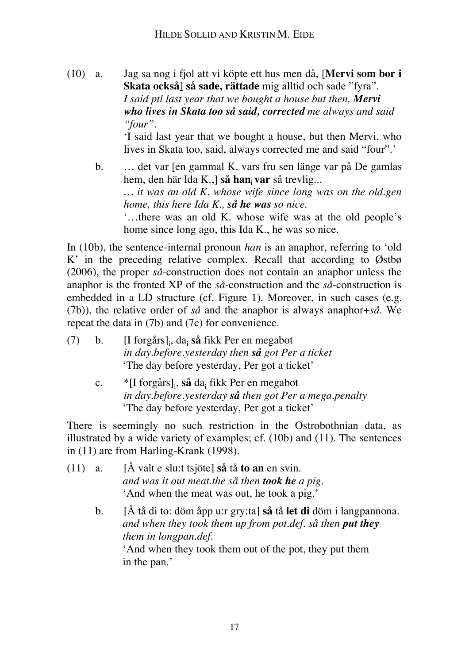(10) a. Jag sa nog i fjol att vi köpte ett hus men då, [**Mervi som bor i Skata också**] **så sade, rättade** mig alltid och sade "fyra". *I said ptl last year that we bought a house but then, Mervi who lives in Skata too så said, corrected me always and said "four".*

'I said last year that we bought a house, but then Mervi, who lives in Skata too, said, always corrected me and said "four".'

b. ... det var [en gammal K. vars fru sen länge var på De gamlas hem, den här Ida K.,] så han, var så trevlig... *… it was an old K. whose wife since long was on the old.gen home, this here Ida K., så he was so nice.* '…there was an old K. whose wife was at the old people's home since long ago, this Ida K., he was so nice.

In (10b), the sentence-internal pronoun *han* is an anaphor, referring to 'old K' in the preceding relative complex. Recall that according to Østbø (2006), the proper *så*-construction does not contain an anaphor unless the anaphor is the fronted XP of the *så*-construction and the *så*-construction is embedded in a LD structure (cf. Figure 1). Moreover, in such cases (e.g. (7b)), the relative order of *så* and the anaphor is always anaphor+*så*. We repeat the data in (7b) and (7c) for convenience.

- (7) b. [I forgårs]i , dai **så** fikk Per en megabot *in day.before.yesterday then så got Per a ticket* 'The day before yesterday, Per got a ticket'
	- c. \*[I forgårs]i , **så** dai fikk Per en megabot *in day.before.yesterday så then got Per a mega.penalty* 'The day before yesterday, Per got a ticket'

There is seemingly no such restriction in the Ostrobothnian data, as illustrated by a wide variety of examples; cf. (10b) and (11). The sentences in (11) are from Harling-Krank (1998).

- (11) a. [Å valt e slu:t tsjöte] **så** tå **to an** en svin. *and was it out meat.the så then took he a pig.* 'And when the meat was out, he took a pig.'
	- b. [Å tå di to: döm åpp u:r gry:ta] **så** tå **let di** döm i langpannona. *and when they took them up from pot.def. så then put they them in longpan.def.* 'And when they took them out of the pot, they put them in the pan.'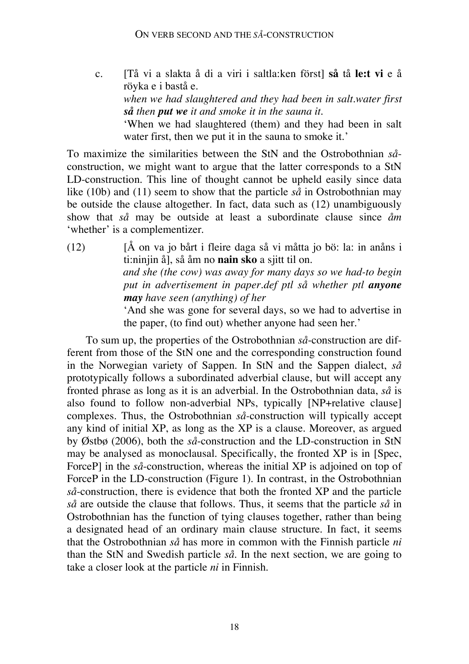c. [Tå vi a slakta å di a viri i saltla:ken först] **så** tå **le:t vi** e å röyka e i bastå e. *when we had slaughtered and they had been in salt.water first så then put we it and smoke it in the sauna it.* 'When we had slaughtered (them) and they had been in salt water first, then we put it in the sauna to smoke it.'

To maximize the similarities between the StN and the Ostrobothnian *så*construction, we might want to argue that the latter corresponds to a StN LD-construction. This line of thought cannot be upheld easily since data like (10b) and (11) seem to show that the particle *så* in Ostrobothnian may be outside the clause altogether. In fact, data such as (12) unambiguously show that *så* may be outside at least a subordinate clause since *åm* 'whether' is a complementizer.

 $(12)$  [Å on va jo bårt i fleire daga så vi måtta jo bö: la: in anåns i ti:ninjin å], så åm no **nain sko** a sjitt til on. *and she (the cow) was away for many days so we had-to begin put in advertisement in paper.def ptl så whether ptl anyone may have seen (anything) of her* 'And she was gone for several days, so we had to advertise in the paper, (to find out) whether anyone had seen her.'

To sum up, the properties of the Ostrobothnian *så*-construction are different from those of the StN one and the corresponding construction found in the Norwegian variety of Sappen. In StN and the Sappen dialect, *så* prototypically follows a subordinated adverbial clause, but will accept any fronted phrase as long as it is an adverbial. In the Ostrobothnian data, *så* is also found to follow non-adverbial NPs, typically [NP+relative clause] complexes. Thus, the Ostrobothnian *så-*construction will typically accept any kind of initial XP, as long as the XP is a clause. Moreover, as argued by Østbø (2006), both the *så*-construction and the LD-construction in StN may be analysed as monoclausal. Specifically, the fronted XP is in [Spec, ForceP] in the *så*-construction, whereas the initial XP is adjoined on top of ForceP in the LD-construction (Figure 1). In contrast, in the Ostrobothnian *så*-construction, there is evidence that both the fronted XP and the particle *så* are outside the clause that follows. Thus, it seems that the particle *så* in Ostrobothnian has the function of tying clauses together, rather than being a designated head of an ordinary main clause structure. In fact, it seems that the Ostrobothnian *så* has more in common with the Finnish particle *ni* than the StN and Swedish particle *så.* In the next section, we are going to take a closer look at the particle *ni* in Finnish.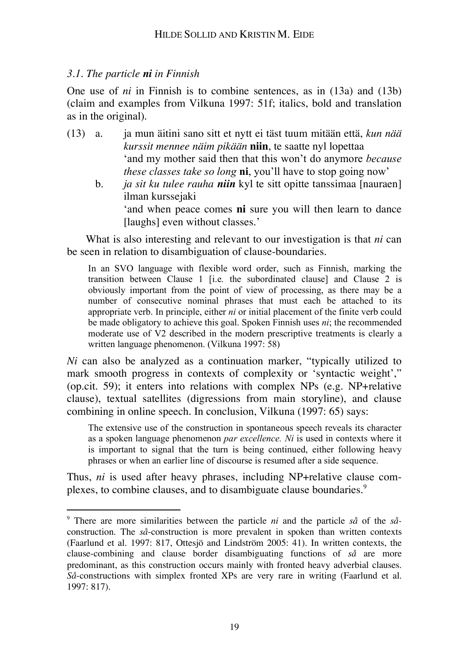## *3.1. The particle ni in Finnish*

One use of *ni* in Finnish is to combine sentences, as in (13a) and (13b) (claim and examples from Vilkuna 1997: 51f; italics, bold and translation as in the original).

- (13) a. ja mun äitini sano sitt et nytt ei täst tuum mitään että, *kun nää kurssit mennee näim pikään* **niin**, te saatte nyl lopettaa 'and my mother said then that this won't do anymore *because these classes take so long* **ni**, you'll have to stop going now'
	- b. *ja sit ku tulee rauha niin* kyl te sitt opitte tanssimaa [nauraen] ilman kurssejaki

'and when peace comes **ni** sure you will then learn to dance [laughs] even without classes.'

What is also interesting and relevant to our investigation is that *ni* can be seen in relation to disambiguation of clause-boundaries.

In an SVO language with flexible word order, such as Finnish, marking the transition between Clause 1 [i.e. the subordinated clause] and Clause 2 is obviously important from the point of view of processing, as there may be a number of consecutive nominal phrases that must each be attached to its appropriate verb. In principle, either *ni* or initial placement of the finite verb could be made obligatory to achieve this goal. Spoken Finnish uses *ni*; the recommended moderate use of V2 described in the modern prescriptive treatments is clearly a written language phenomenon. (Vilkuna 1997: 58)

*Ni* can also be analyzed as a continuation marker, "typically utilized to mark smooth progress in contexts of complexity or 'syntactic weight'," (op.cit. 59); it enters into relations with complex NPs (e.g. NP+relative clause), textual satellites (digressions from main storyline), and clause combining in online speech. In conclusion, Vilkuna (1997: 65) says:

The extensive use of the construction in spontaneous speech reveals its character as a spoken language phenomenon *par excellence. Ni* is used in contexts where it is important to signal that the turn is being continued, either following heavy phrases or when an earlier line of discourse is resumed after a side sequence.

Thus, *ni* is used after heavy phrases, including NP+relative clause complexes, to combine clauses, and to disambiguate clause boundaries.<sup>9</sup>

 <sup>9</sup> There are more similarities between the particle *ni* and the particle *så* of the *så*construction. The *så*-construction is more prevalent in spoken than written contexts (Faarlund et al. 1997: 817, Ottesjö and Lindström 2005: 41). In written contexts, the clause-combining and clause border disambiguating functions of *så* are more predominant, as this construction occurs mainly with fronted heavy adverbial clauses. *Så*-constructions with simplex fronted XPs are very rare in writing (Faarlund et al. 1997: 817).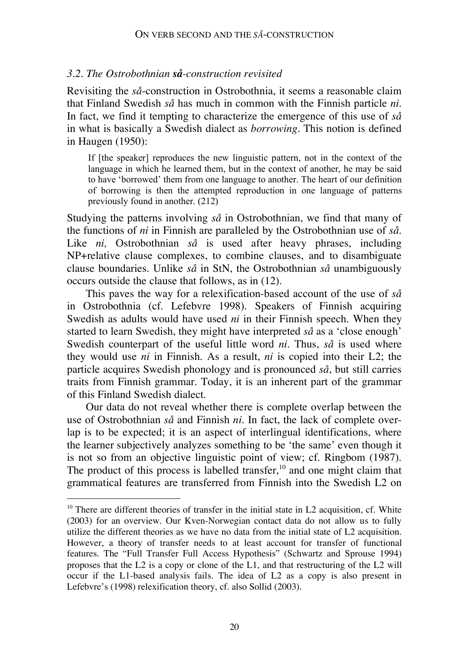#### *3.2. The Ostrobothnian så-construction revisited*

Revisiting the *så*-construction in Ostrobothnia, it seems a reasonable claim that Finland Swedish *så* has much in common with the Finnish particle *ni.* In fact, we find it tempting to characterize the emergence of this use of *så* in what is basically a Swedish dialect as *borrowing*. This notion is defined in Haugen (1950):

If [the speaker] reproduces the new linguistic pattern, not in the context of the language in which he learned them, but in the context of another, he may be said to have 'borrowed' them from one language to another. The heart of our definition of borrowing is then the attempted reproduction in one language of patterns previously found in another. (212)

Studying the patterns involving *så* in Ostrobothnian, we find that many of the functions of *ni* in Finnish are paralleled by the Ostrobothnian use of *så.* Like *ni,* Ostrobothnian *så* is used after heavy phrases, including NP+relative clause complexes, to combine clauses, and to disambiguate clause boundaries. Unlike *så* in StN, the Ostrobothnian *så* unambiguously occurs outside the clause that follows, as in (12).

This paves the way for a relexification-based account of the use of *så* in Ostrobothnia (cf. Lefebvre 1998). Speakers of Finnish acquiring Swedish as adults would have used *ni* in their Finnish speech. When they started to learn Swedish, they might have interpreted *så* as a 'close enough' Swedish counterpart of the useful little word *ni*. Thus, *så* is used where they would use *ni* in Finnish. As a result, *ni* is copied into their L2; the particle acquires Swedish phonology and is pronounced *så*, but still carries traits from Finnish grammar. Today, it is an inherent part of the grammar of this Finland Swedish dialect.

Our data do not reveal whether there is complete overlap between the use of Ostrobothnian *så* and Finnish *ni*. In fact, the lack of complete overlap is to be expected; it is an aspect of interlingual identifications, where the learner subjectively analyzes something to be 'the same' even though it is not so from an objective linguistic point of view; cf. Ringbom (1987). The product of this process is labelled transfer,<sup>10</sup> and one might claim that grammatical features are transferred from Finnish into the Swedish L2 on

 $10$  There are different theories of transfer in the initial state in L2 acquisition, cf. White (2003) for an overview. Our Kven-Norwegian contact data do not allow us to fully utilize the different theories as we have no data from the initial state of L2 acquisition. However, a theory of transfer needs to at least account for transfer of functional features. The "Full Transfer Full Access Hypothesis" (Schwartz and Sprouse 1994) proposes that the L2 is a copy or clone of the L1, and that restructuring of the L2 will occur if the L1-based analysis fails. The idea of L2 as a copy is also present in Lefebvre's (1998) relexification theory, cf. also Sollid (2003).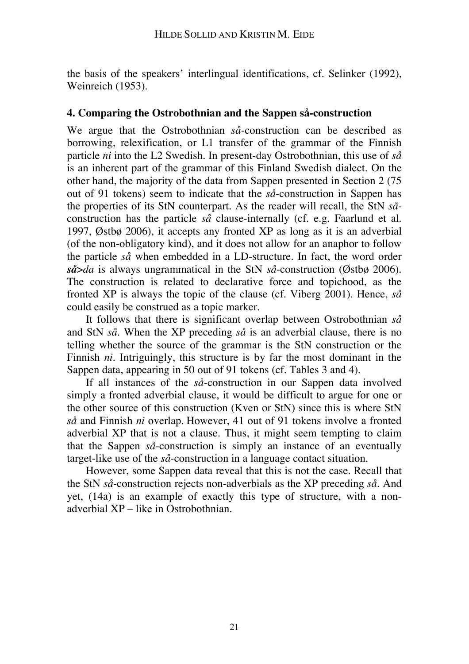the basis of the speakers' interlingual identifications, cf. Selinker (1992), Weinreich (1953).

#### **4. Comparing the Ostrobothnian and the Sappen så-construction**

We argue that the Ostrobothnian *så*-construction can be described as borrowing, relexification, or L1 transfer of the grammar of the Finnish particle *ni* into the L2 Swedish. In present-day Ostrobothnian, this use of *så* is an inherent part of the grammar of this Finland Swedish dialect. On the other hand, the majority of the data from Sappen presented in Section 2 (75 out of 91 tokens) seem to indicate that the *så*-construction in Sappen has the properties of its StN counterpart. As the reader will recall, the StN *så*construction has the particle *så* clause-internally (cf. e.g. Faarlund et al. 1997, Østbø 2006), it accepts any fronted XP as long as it is an adverbial (of the non-obligatory kind), and it does not allow for an anaphor to follow the particle *så* when embedded in a LD-structure*.* In fact, the word order *så*>*da* is always ungrammatical in the StN *så*-construction (Østbø 2006). The construction is related to declarative force and topichood, as the fronted XP is always the topic of the clause (cf. Viberg 2001). Hence, *så* could easily be construed as a topic marker.

It follows that there is significant overlap between Ostrobothnian *så* and StN *så.* When the XP preceding *så* is an adverbial clause, there is no telling whether the source of the grammar is the StN construction or the Finnish *ni.* Intriguingly, this structure is by far the most dominant in the Sappen data, appearing in 50 out of 91 tokens (cf. Tables 3 and 4).

If all instances of the *så-*construction in our Sappen data involved simply a fronted adverbial clause, it would be difficult to argue for one or the other source of this construction (Kven or StN) since this is where StN *så* and Finnish *ni* overlap. However, 41 out of 91 tokens involve a fronted adverbial XP that is not a clause. Thus, it might seem tempting to claim that the Sappen *så*-construction is simply an instance of an eventually target-like use of the *så-*construction in a language contact situation.

However, some Sappen data reveal that this is not the case. Recall that the StN *så*-construction rejects non-adverbials as the XP preceding *så*. And yet, (14a) is an example of exactly this type of structure, with a nonadverbial XP – like in Ostrobothnian.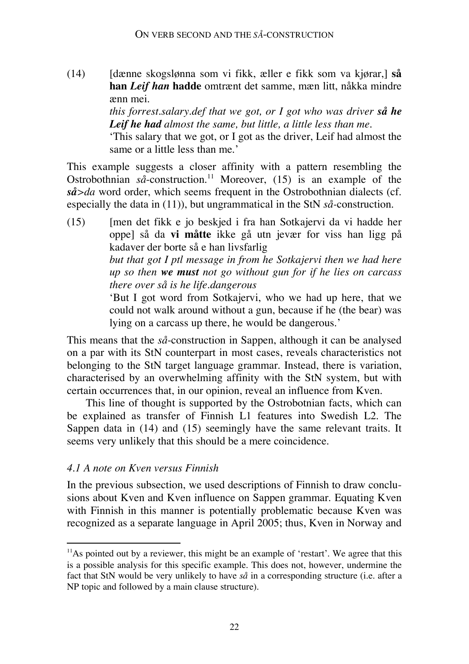(14) [dænne skogslønna som vi fikk, æller e fikk som va kjørar,] **så han** *Leif han* **hadde** omtrænt det samme, mæn litt, nåkka mindre ænn mei.

> *this forrest.salary.def that we got, or I got who was driver så he Leif he had almost the same, but little, a little less than me.* 'This salary that we got, or I got as the driver, Leif had almost the same or a little less than me.'

This example suggests a closer affinity with a pattern resembling the Ostrobothnian *så*-construction.<sup>11</sup> Moreover, (15) is an example of the *så>da* word order, which seems frequent in the Ostrobothnian dialects (cf. especially the data in (11)), but ungrammatical in the StN *så-*construction.

(15) [men det fikk e jo beskjed i fra han Sotkajervi da vi hadde her oppe] så da **vi måtte** ikke gå utn jevær for viss han ligg på kadaver der borte så e han livsfarlig *but that got I ptl message in from he Sotkajervi then we had here up so then we must not go without gun for if he lies on carcass there over så is he life.dangerous* 'But I got word from Sotkajervi, who we had up here, that we

could not walk around without a gun, because if he (the bear) was lying on a carcass up there, he would be dangerous.'

This means that the *så*-construction in Sappen, although it can be analysed on a par with its StN counterpart in most cases, reveals characteristics not belonging to the StN target language grammar. Instead, there is variation, characterised by an overwhelming affinity with the StN system, but with certain occurrences that, in our opinion, reveal an influence from Kven.

This line of thought is supported by the Ostrobotnian facts, which can be explained as transfer of Finnish L1 features into Swedish L2. The Sappen data in (14) and (15) seemingly have the same relevant traits. It seems very unlikely that this should be a mere coincidence.

## *4.1 A note on Kven versus Finnish*

In the previous subsection, we used descriptions of Finnish to draw conclusions about Kven and Kven influence on Sappen grammar. Equating Kven with Finnish in this manner is potentially problematic because Kven was recognized as a separate language in April 2005; thus, Kven in Norway and

<sup>&</sup>lt;sup>11</sup>As pointed out by a reviewer, this might be an example of 'restart'. We agree that this is a possible analysis for this specific example. This does not, however, undermine the fact that StN would be very unlikely to have *så* in a corresponding structure (i.e. after a NP topic and followed by a main clause structure).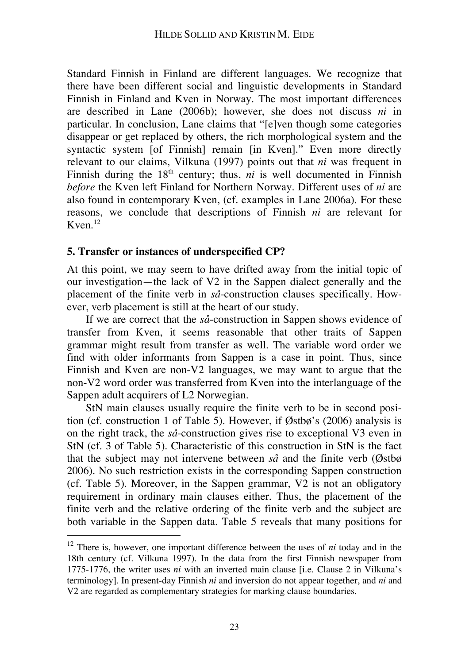Standard Finnish in Finland are different languages. We recognize that there have been different social and linguistic developments in Standard Finnish in Finland and Kven in Norway. The most important differences are described in Lane (2006b); however, she does not discuss *ni* in particular. In conclusion, Lane claims that "[e]ven though some categories disappear or get replaced by others, the rich morphological system and the syntactic system [of Finnish] remain [in Kven]." Even more directly relevant to our claims, Vilkuna (1997) points out that *ni* was frequent in Finnish during the  $18<sup>th</sup>$  century; thus, *ni* is well documented in Finnish *before* the Kven left Finland for Northern Norway. Different uses of *ni* are also found in contemporary Kven, (cf. examples in Lane 2006a). For these reasons, we conclude that descriptions of Finnish *ni* are relevant for  $K$ ven<sup>12</sup>

#### **5. Transfer or instances of underspecified CP?**

At this point, we may seem to have drifted away from the initial topic of our investigation—the lack of V2 in the Sappen dialect generally and the placement of the finite verb in *så*-construction clauses specifically. However, verb placement is still at the heart of our study.

If we are correct that the *så*-construction in Sappen shows evidence of transfer from Kven, it seems reasonable that other traits of Sappen grammar might result from transfer as well. The variable word order we find with older informants from Sappen is a case in point. Thus, since Finnish and Kven are non-V2 languages, we may want to argue that the non-V2 word order was transferred from Kven into the interlanguage of the Sappen adult acquirers of L2 Norwegian.

StN main clauses usually require the finite verb to be in second position (cf. construction 1 of Table 5). However, if Østbø's (2006) analysis is on the right track, the *så*-construction gives rise to exceptional V3 even in StN (cf. 3 of Table 5). Characteristic of this construction in StN is the fact that the subject may not intervene between *så* and the finite verb (Østbø 2006). No such restriction exists in the corresponding Sappen construction (cf. Table 5). Moreover, in the Sappen grammar, V2 is not an obligatory requirement in ordinary main clauses either. Thus, the placement of the finite verb and the relative ordering of the finite verb and the subject are both variable in the Sappen data. Table 5 reveals that many positions for

<sup>&</sup>lt;sup>12</sup> There is, however, one important difference between the uses of *ni* today and in the 18th century (cf. Vilkuna 1997). In the data from the first Finnish newspaper from 1775-1776, the writer uses *ni* with an inverted main clause [i.e. Clause 2 in Vilkuna's terminology]. In present-day Finnish *ni* and inversion do not appear together, and *ni* and V2 are regarded as complementary strategies for marking clause boundaries.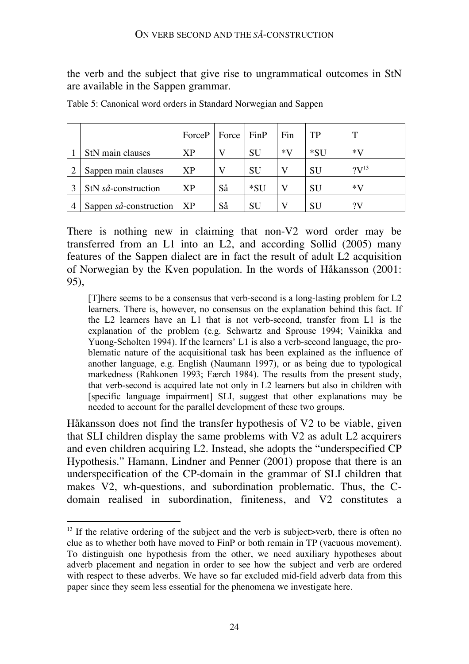the verb and the subject that give rise to ungrammatical outcomes in StN are available in the Sappen grammar.

|                        | $ForceP$   Force |    | FinP      | Fin  | TP        | т                |
|------------------------|------------------|----|-----------|------|-----------|------------------|
| StN main clauses       | <b>XP</b>        | V  | <b>SU</b> | $*V$ | *SU       | $*V$             |
| Sappen main clauses    | <b>XP</b>        | V  | <b>SU</b> | V    | <b>SU</b> | $?V^{13}$        |
| StN så-construction    | <b>XP</b>        | Så | *SU       | V    | <b>SU</b> | $*V$             |
| Sappen så-construction | <b>XP</b>        | Så | <b>SU</b> | V    | <b>SU</b> | $\gamma_{\rm V}$ |

Table 5: Canonical word orders in Standard Norwegian and Sappen

There is nothing new in claiming that non-V2 word order may be transferred from an L1 into an L2, and according Sollid (2005) many features of the Sappen dialect are in fact the result of adult L2 acquisition of Norwegian by the Kven population. In the words of Håkansson (2001: 95),

[T]here seems to be a consensus that verb-second is a long-lasting problem for L2 learners. There is, however, no consensus on the explanation behind this fact. If the L2 learners have an L1 that is not verb-second, transfer from L1 is the explanation of the problem (e.g. Schwartz and Sprouse 1994; Vainikka and Yuong-Scholten 1994). If the learners' L1 is also a verb-second language, the problematic nature of the acquisitional task has been explained as the influence of another language, e.g. English (Naumann 1997), or as being due to typological markedness (Rahkonen 1993; Færch 1984). The results from the present study, that verb-second is acquired late not only in L2 learners but also in children with [specific language impairment] SLI, suggest that other explanations may be needed to account for the parallel development of these two groups.

Håkansson does not find the transfer hypothesis of V2 to be viable, given that SLI children display the same problems with V2 as adult L2 acquirers and even children acquiring L2. Instead, she adopts the "underspecified CP Hypothesis." Hamann, Lindner and Penner (2001) propose that there is an underspecification of the CP-domain in the grammar of SLI children that makes V2, wh-questions, and subordination problematic. Thus, the Cdomain realised in subordination, finiteness, and V2 constitutes a

 $13$  If the relative ordering of the subject and the verb is subject >verb, there is often no clue as to whether both have moved to FinP or both remain in TP (vacuous movement). To distinguish one hypothesis from the other, we need auxiliary hypotheses about adverb placement and negation in order to see how the subject and verb are ordered with respect to these adverbs. We have so far excluded mid-field adverb data from this paper since they seem less essential for the phenomena we investigate here.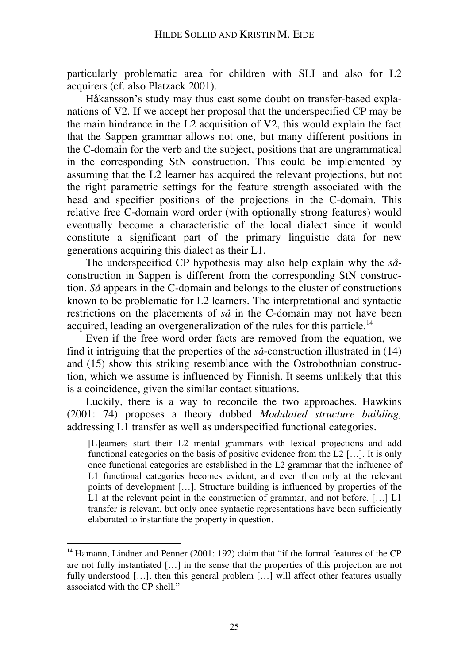particularly problematic area for children with SLI and also for L2 acquirers (cf. also Platzack 2001).

Håkansson's study may thus cast some doubt on transfer-based explanations of V2. If we accept her proposal that the underspecified CP may be the main hindrance in the L2 acquisition of V2, this would explain the fact that the Sappen grammar allows not one, but many different positions in the C-domain for the verb and the subject, positions that are ungrammatical in the corresponding StN construction. This could be implemented by assuming that the L2 learner has acquired the relevant projections, but not the right parametric settings for the feature strength associated with the head and specifier positions of the projections in the C-domain. This relative free C-domain word order (with optionally strong features) would eventually become a characteristic of the local dialect since it would constitute a significant part of the primary linguistic data for new generations acquiring this dialect as their L1.

The underspecified CP hypothesis may also help explain why the *så*construction in Sappen is different from the corresponding StN construction. *Så* appears in the C-domain and belongs to the cluster of constructions known to be problematic for L2 learners. The interpretational and syntactic restrictions on the placements of *så* in the C-domain may not have been acquired, leading an overgeneralization of the rules for this particle.<sup>14</sup>

Even if the free word order facts are removed from the equation, we find it intriguing that the properties of the *så*-construction illustrated in (14) and (15) show this striking resemblance with the Ostrobothnian construction, which we assume is influenced by Finnish. It seems unlikely that this is a coincidence, given the similar contact situations.

Luckily, there is a way to reconcile the two approaches. Hawkins (2001: 74) proposes a theory dubbed *Modulated structure building,* addressing L1 transfer as well as underspecified functional categories.

[L]earners start their L2 mental grammars with lexical projections and add functional categories on the basis of positive evidence from the L2 […]. It is only once functional categories are established in the L2 grammar that the influence of L1 functional categories becomes evident, and even then only at the relevant points of development […]. Structure building is influenced by properties of the L1 at the relevant point in the construction of grammar, and not before. [...] L1 transfer is relevant, but only once syntactic representations have been sufficiently elaborated to instantiate the property in question.

<sup>&</sup>lt;sup>14</sup> Hamann, Lindner and Penner (2001: 192) claim that "if the formal features of the CP are not fully instantiated […] in the sense that the properties of this projection are not fully understood [...], then this general problem [...] will affect other features usually associated with the CP shell."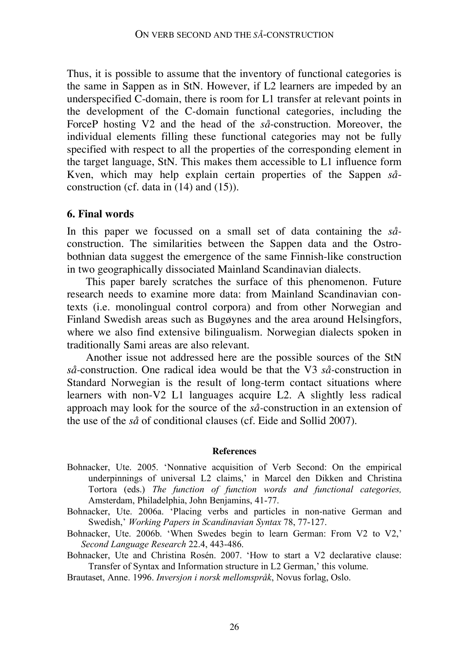Thus, it is possible to assume that the inventory of functional categories is the same in Sappen as in StN. However, if L2 learners are impeded by an underspecified C-domain, there is room for L1 transfer at relevant points in the development of the C-domain functional categories, including the ForceP hosting V2 and the head of the *så*-construction. Moreover, the individual elements filling these functional categories may not be fully specified with respect to all the properties of the corresponding element in the target language, StN. This makes them accessible to L1 influence form Kven, which may help explain certain properties of the Sappen *så*construction (cf. data in (14) and (15)).

#### **6. Final words**

In this paper we focussed on a small set of data containing the *så*construction. The similarities between the Sappen data and the Ostrobothnian data suggest the emergence of the same Finnish-like construction in two geographically dissociated Mainland Scandinavian dialects.

This paper barely scratches the surface of this phenomenon. Future research needs to examine more data: from Mainland Scandinavian contexts (i.e. monolingual control corpora) and from other Norwegian and Finland Swedish areas such as Bugøynes and the area around Helsingfors, where we also find extensive bilingualism. Norwegian dialects spoken in traditionally Sami areas are also relevant.

Another issue not addressed here are the possible sources of the StN *så-*construction. One radical idea would be that the V3 *så-*construction in Standard Norwegian is the result of long-term contact situations where learners with non-V2 L1 languages acquire L2. A slightly less radical approach may look for the source of the *så-*construction in an extension of the use of the *så* of conditional clauses (cf. Eide and Sollid 2007).

#### **References**

- Bohnacker, Ute. 2005. 'Nonnative acquisition of Verb Second: On the empirical underpinnings of universal L2 claims,' in Marcel den Dikken and Christina Tortora (eds.) *The function of function words and functional categories,* Amsterdam, Philadelphia, John Benjamins, 41-77.
- Bohnacker, Ute. 2006a. 'Placing verbs and particles in non-native German and Swedish,' *Working Papers in Scandinavian Syntax* 78, 77-127.
- Bohnacker, Ute. 2006b. 'When Swedes begin to learn German: From V2 to V2,' *Second Language Research* 22.4, 443-486.
- Bohnacker, Ute and Christina Rosén. 2007. 'How to start a V2 declarative clause: Transfer of Syntax and Information structure in L2 German,' this volume.

Brautaset, Anne. 1996. *Inversjon i norsk mellomspråk*, Novus forlag, Oslo.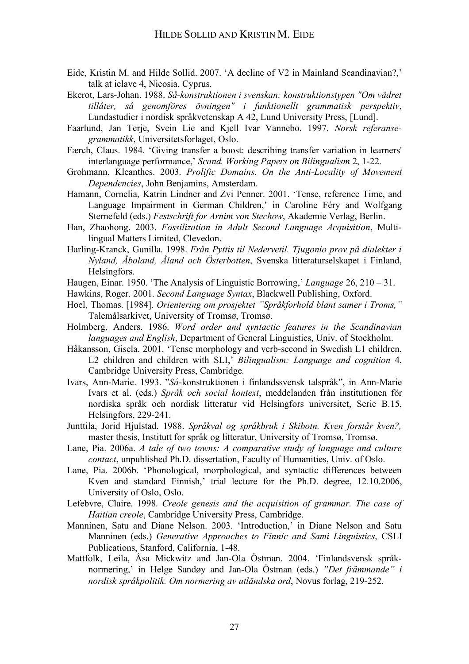- Eide, Kristin M. and Hilde Sollid. 2007. 'A decline of V2 in Mainland Scandinavian?,' talk at iclave 4, Nicosia, Cyprus.
- Ekerot, Lars-Johan. 1988. *Så-konstruktionen i svenskan: konstruktionstypen "Om vädret tillåter, så genomföres övningen" i funktionellt grammatisk perspektiv*, Lundastudier i nordisk språkvetenskap A 42, Lund University Press, [Lund].
- Faarlund, Jan Terje, Svein Lie and Kjell Ivar Vannebo. 1997. *Norsk referansegrammatikk*, Universitetsforlaget, Oslo.
- Færch, Claus. 1984. 'Giving transfer a boost: describing transfer variation in learners' interlanguage performance,' *Scand. Working Papers on Bilingualism* 2, 1-22.
- Grohmann, Kleanthes. 2003. *Prolific Domains. On the Anti-Locality of Movement Dependencies*, John Benjamins, Amsterdam.
- Hamann, Cornelia, Katrin Lindner and Zvi Penner. 2001. 'Tense, reference Time, and Language Impairment in German Children,' in Caroline Féry and Wolfgang Sternefeld (eds.) *Festschrift for Arnim von Stechow*, Akademie Verlag, Berlin.
- Han, Zhaohong. 2003. *Fossilization in Adult Second Language Acquisition*, Multilingual Matters Limited, Clevedon.
- Harling-Kranck, Gunilla. 1998. *Från Pyttis til Nedervetil. Tjugonio prov på dialekter i Nyland, Åboland, Åland och Österbotten*, Svenska litteraturselskapet i Finland, Helsingfors.
- Haugen, Einar. 1950. 'The Analysis of Linguistic Borrowing,' *Language* 26, 210 31.
- Hawkins, Roger. 2001. *Second Language Syntax*, Blackwell Publishing, Oxford.
- Hoel, Thomas. [1984]. *Orientering om prosjektet "Språkforhold blant samer i Troms,"* Talemålsarkivet, University of Tromsø, Tromsø.
- Holmberg, Anders. 1986. *Word order and syntactic features in the Scandinavian languages and English*, Department of General Linguistics, Univ. of Stockholm.
- Håkansson, Gisela. 2001. 'Tense morphology and verb-second in Swedish L1 children, L2 children and children with SLI,' *Bilingualism: Language and cognition* 4, Cambridge University Press, Cambridge.
- Ivars, Ann-Marie. 1993. "*Så*-konstruktionen i finlandssvensk talspråk", in Ann-Marie Ivars et al. (eds.) *Språk och social kontext*, meddelanden från institutionen för nordiska språk och nordisk litteratur vid Helsingfors universitet, Serie B.15, Helsingfors, 229-241.
- Junttila, Jorid Hjulstad. 1988. *Språkval og språkbruk i Skibotn. Kven forstår kven?,* master thesis, Institutt for språk og litteratur, University of Tromsø, Tromsø.
- Lane, Pia. 2006a. *A tale of two towns: A comparative study of language and culture contact*, unpublished Ph.D. dissertation, Faculty of Humanities, Univ. of Oslo.
- Lane, Pia. 2006b. 'Phonological, morphological, and syntactic differences between Kven and standard Finnish,' trial lecture for the Ph.D. degree, 12.10.2006, University of Oslo, Oslo.
- Lefebvre, Claire. 1998. *Creole genesis and the acquisition of grammar. The case of Haitian creole*, Cambridge University Press, Cambridge.
- Manninen, Satu and Diane Nelson. 2003. 'Introduction,' in Diane Nelson and Satu Manninen (eds.) *Generative Approaches to Finnic and Sami Linguistics*, CSLI Publications, Stanford, California, 1-48.
- Mattfolk, Leila, Åsa Mickwitz and Jan-Ola Östman. 2004. 'Finlandsvensk språknormering,' in Helge Sandøy and Jan-Ola Östman (eds.) *"Det främmande" i nordisk språkpolitik. Om normering av utländska ord*, Novus forlag, 219-252.